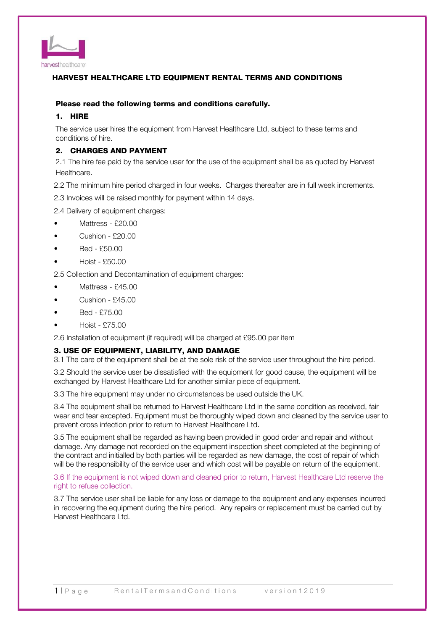

# HARVEST HEALTHCARE LTD EQUIPMENT RENTAL TERMS AND CONDITIONS

## Please read the following terms and conditions carefully.

### 1. HIRE

The service user hires the equipment from Harvest Healthcare Ltd, subject to these terms and conditions of hire.

### 2. CHARGES AND PAYMENT

2.1 The hire fee paid by the service user for the use of the equipment shall be as quoted by Harvest Healthcare.

2.2 The minimum hire period charged in four weeks. Charges thereafter are in full week increments.

2.3 Invoices will be raised monthly for payment within 14 days.

2.4 Delivery of equipment charges:

- Mattress £20.00
- Cushion £20.00
- Bed £50.00
- Hoist £50.00

2.5 Collection and Decontamination of equipment charges:

- Mattress £45.00
- Cushion £45.00
- Bed £75.00
- Hoist £75.00

2.6 Installation of equipment (if required) will be charged at £95.00 per item

### 3. USE OF EQUIPMENT, LIABILITY, AND DAMAGE

3.1 The care of the equipment shall be at the sole risk of the service user throughout the hire period.

3.2 Should the service user be dissatisfied with the equipment for good cause, the equipment will be exchanged by Harvest Healthcare Ltd for another similar piece of equipment.

3.3 The hire equipment may under no circumstances be used outside the UK.

3.4 The equipment shall be returned to Harvest Healthcare Ltd in the same condition as received, fair wear and tear excepted. Equipment must be thoroughly wiped down and cleaned by the service user to prevent cross infection prior to return to Harvest Healthcare Ltd.

3.5 The equipment shall be regarded as having been provided in good order and repair and without damage. Any damage not recorded on the equipment inspection sheet completed at the beginning of the contract and initialled by both parties will be regarded as new damage, the cost of repair of which will be the responsibility of the service user and which cost will be payable on return of the equipment.

3.6 If the equipment is not wiped down and cleaned prior to return, Harvest Healthcare Ltd reserve the right to refuse collection.

3.7 The service user shall be liable for any loss or damage to the equipment and any expenses incurred in recovering the equipment during the hire period. Any repairs or replacement must be carried out by Harvest Healthcare Ltd.